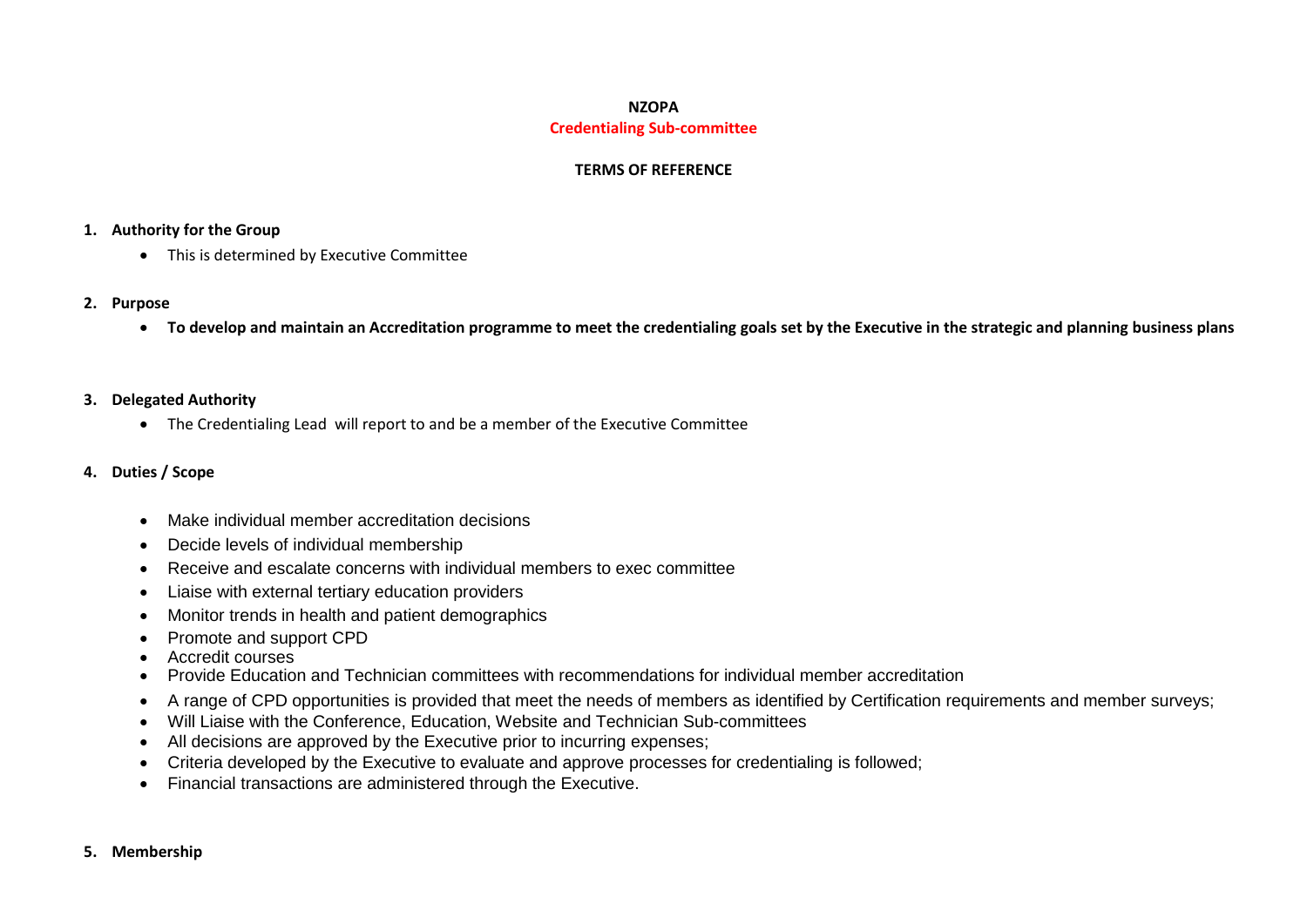# **NZOPA Credentialing Sub-committee**

### **TERMS OF REFERENCE**

#### **1. Authority for the Group**

• This is determined by Executive Committee

#### **2. Purpose**

**To develop and maintain an Accreditation programme to meet the credentialing goals set by the Executive in the strategic and planning business plans**

### **3. Delegated Authority**

The Credentialing Lead will report to and be a member of the Executive Committee

### **4. Duties / Scope**

- Make individual member accreditation decisions
- Decide levels of individual membership
- Receive and escalate concerns with individual members to exec committee
- Liaise with external tertiary education providers
- Monitor trends in health and patient demographics
- Promote and support CPD
- Accredit courses
- Provide Education and Technician committees with recommendations for individual member accreditation
- A range of CPD opportunities is provided that meet the needs of members as identified by Certification requirements and member surveys;
- Will Liaise with the Conference, Education, Website and Technician Sub-committees
- All decisions are approved by the Executive prior to incurring expenses;
- Criteria developed by the Executive to evaluate and approve processes for credentialing is followed;
- Financial transactions are administered through the Executive.

#### **5. Membership**